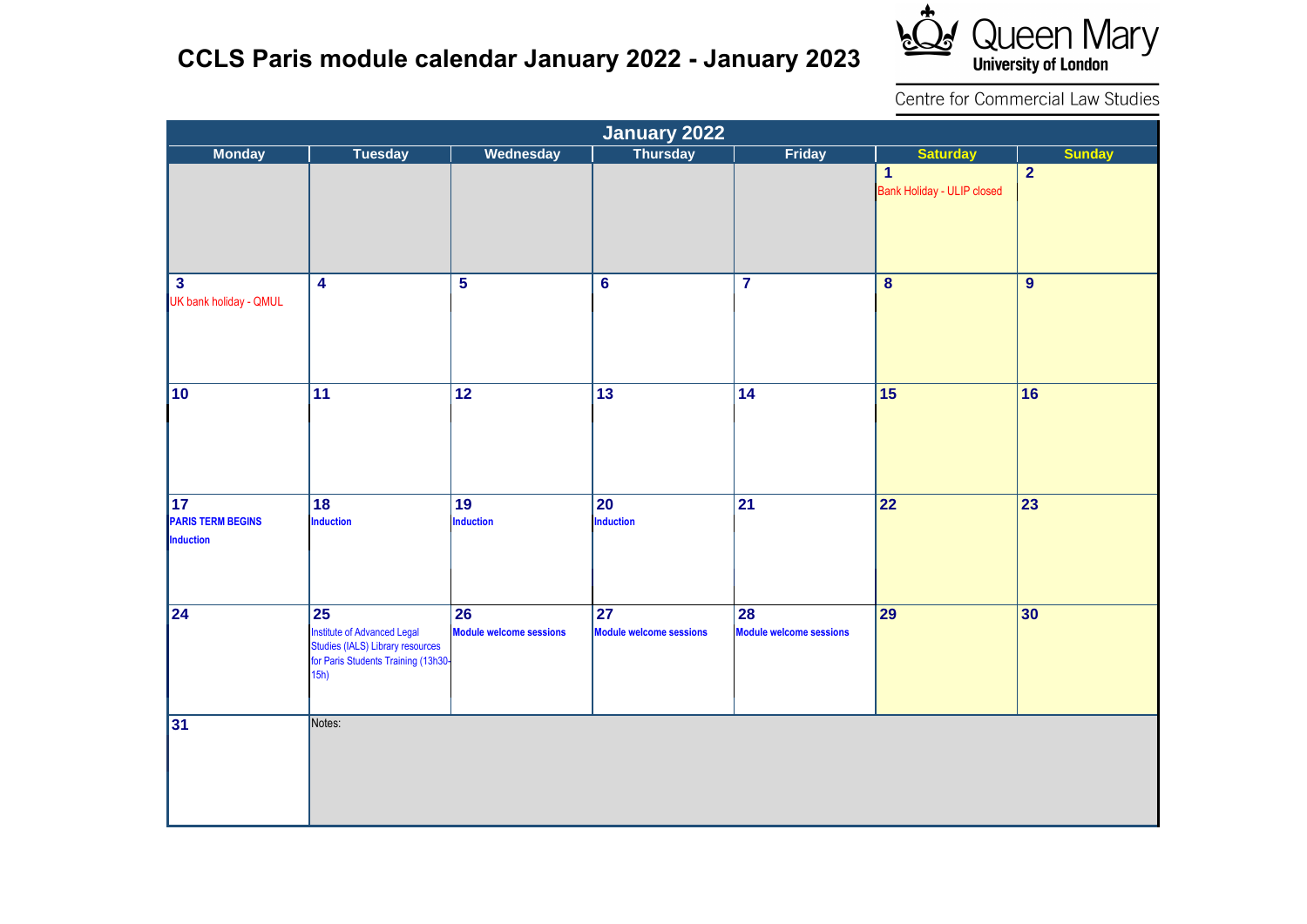## **CCLS Paris module calendar January 2022 - January 2023**



Centre for Commercial Law Studies

|                                                                 |                                                                                                                             |                                      | January 2022                                      |                                      |                                                   |                 |
|-----------------------------------------------------------------|-----------------------------------------------------------------------------------------------------------------------------|--------------------------------------|---------------------------------------------------|--------------------------------------|---------------------------------------------------|-----------------|
| <b>Monday</b>                                                   | <b>Tuesday</b>                                                                                                              | <b>Wednesday</b>                     |                                                   | Friday                               | <b>Saturday</b>                                   | <b>Sunday</b>   |
|                                                                 |                                                                                                                             |                                      |                                                   |                                      | $\mathbf{1}$<br><b>Bank Holiday - ULIP closed</b> | $\overline{2}$  |
| $\mathbf{3}$<br>UK bank holiday - QMUL                          | $\overline{\mathbf{4}}$                                                                                                     | $\overline{\mathbf{5}}$              | $6\phantom{a}$                                    | $\overline{\mathbf{7}}$              | $\bf{8}$                                          | $\overline{9}$  |
| 10                                                              | $\overline{11}$                                                                                                             | $\overline{12}$                      | $\overline{13}$                                   | $\overline{14}$                      | $\overline{15}$                                   | 16              |
| $\overline{17}$<br><b>PARIS TERM BEGINS</b><br><b>Induction</b> | 18<br><b>Induction</b>                                                                                                      | 19<br>Induction                      | <b>20</b><br>Induction                            | $\overline{21}$                      | $\overline{22}$                                   | $\overline{23}$ |
| $\overline{24}$                                                 | 25<br><b>Institute of Advanced Legal</b><br>Studies (IALS) Library resources<br>for Paris Students Training (13h30-<br>15h) | 26<br><b>Module welcome sessions</b> | $\overline{27}$<br><b>Module welcome sessions</b> | 28<br><b>Module welcome sessions</b> | $\overline{29}$                                   | 30              |
| $\overline{31}$                                                 | Notes:                                                                                                                      |                                      |                                                   |                                      |                                                   |                 |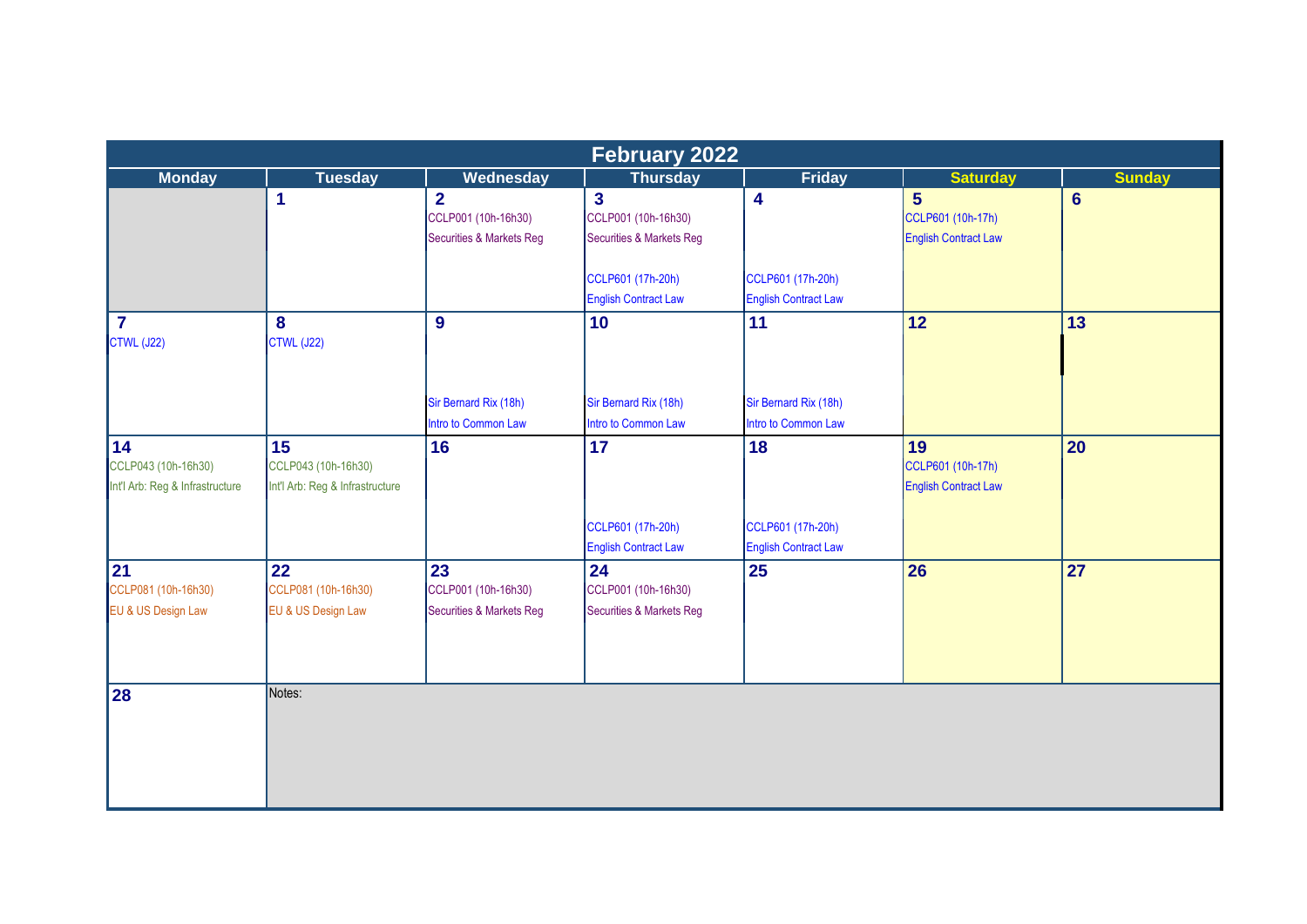|                                                              |                                                              |                                                                              | <b>February 2022</b>                                                         |                                                  |                                                                    |                |
|--------------------------------------------------------------|--------------------------------------------------------------|------------------------------------------------------------------------------|------------------------------------------------------------------------------|--------------------------------------------------|--------------------------------------------------------------------|----------------|
| <b>Monday</b>                                                | <b>Tuesday</b>                                               | Wednesday                                                                    | <b>Thursday</b>                                                              | <b>Friday</b>                                    | <b>Saturday</b>                                                    | <b>Sunday</b>  |
|                                                              | $\overline{1}$                                               | $\overline{2}$<br>CCLP001 (10h-16h30)<br><b>Securities &amp; Markets Reg</b> | $\overline{3}$<br>CCLP001 (10h-16h30)<br><b>Securities &amp; Markets Reg</b> | $\overline{\mathbf{4}}$                          | $5\phantom{1}$<br>CCLP601 (10h-17h)<br><b>English Contract Law</b> | $6\phantom{a}$ |
|                                                              |                                                              |                                                                              | CCLP601 (17h-20h)<br><b>English Contract Law</b>                             | CCLP601 (17h-20h)<br><b>English Contract Law</b> |                                                                    |                |
| $\overline{7}$<br>CTWL (J22)                                 | 8<br><b>CTWL (J22)</b>                                       | 9                                                                            | 10                                                                           | 11                                               | 12                                                                 | 13             |
|                                                              |                                                              | Sir Bernard Rix (18h)<br>Intro to Common Law                                 | Sir Bernard Rix (18h)<br>Intro to Common Law                                 | Sir Bernard Rix (18h)<br>Intro to Common Law     |                                                                    |                |
| 14<br>CCLP043 (10h-16h30)<br>Int'l Arb: Reg & Infrastructure | 15<br>CCLP043 (10h-16h30)<br>Int'l Arb: Reg & Infrastructure | 16                                                                           | 17                                                                           | 18                                               | 19<br>CCLP601 (10h-17h)<br><b>English Contract Law</b>             | 20             |
|                                                              |                                                              |                                                                              | CCLP601 (17h-20h)<br><b>English Contract Law</b>                             | CCLP601 (17h-20h)<br><b>English Contract Law</b> |                                                                    |                |
| 21<br>CCLP081 (10h-16h30)<br>EU & US Design Law              | 22<br>CCLP081 (10h-16h30)<br>EU & US Design Law              | 23<br>CCLP001 (10h-16h30)<br>Securities & Markets Reg                        | 24<br>CCLP001 (10h-16h30)<br><b>Securities &amp; Markets Reg</b>             | $\overline{25}$                                  | 26                                                                 | 27             |
| 28                                                           | Notes:                                                       |                                                                              |                                                                              |                                                  |                                                                    |                |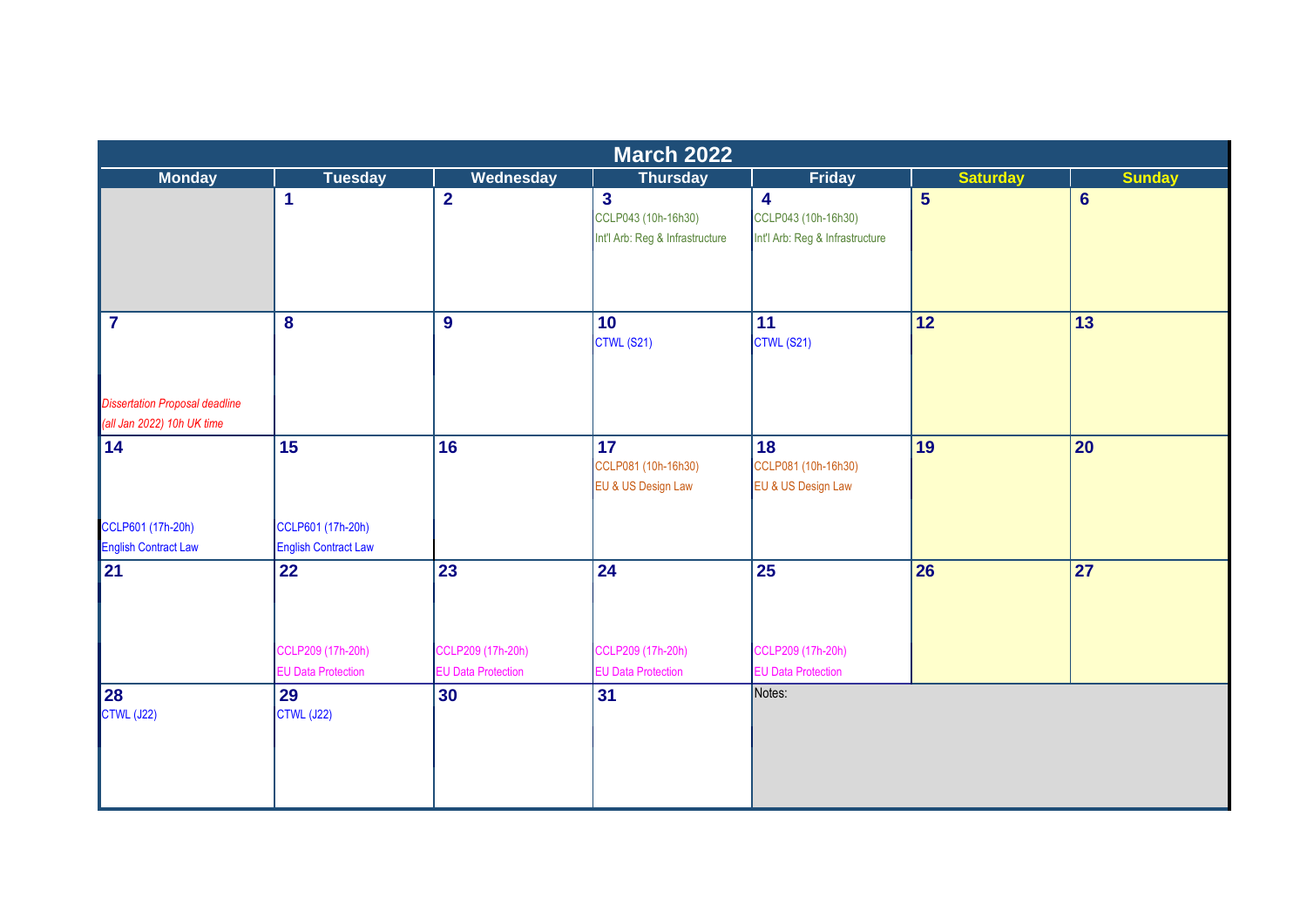|                                                                     | <b>March 2022</b>                                |                                                |                                                                          |                                                                                   |                 |                 |  |  |  |
|---------------------------------------------------------------------|--------------------------------------------------|------------------------------------------------|--------------------------------------------------------------------------|-----------------------------------------------------------------------------------|-----------------|-----------------|--|--|--|
| <b>Monday</b>                                                       | <b>Tuesday</b>                                   | Wednesday                                      | <b>Thursday</b>                                                          | <b>Friday</b>                                                                     | <b>Saturday</b> | <b>Sunday</b>   |  |  |  |
|                                                                     | 1                                                | $\overline{2}$                                 | $\overline{3}$<br>CCLP043 (10h-16h30)<br>Int'l Arb: Reg & Infrastructure | $\overline{\mathbf{4}}$<br>CCLP043 (10h-16h30)<br>Int'l Arb: Reg & Infrastructure | $5\phantom{1}$  | $6\phantom{1}6$ |  |  |  |
| $\overline{7}$                                                      | 8                                                | $\overline{9}$                                 | 10<br>CTWL (S21)                                                         | 11<br>CTWL (S21)                                                                  | 12              | 13              |  |  |  |
| <b>Dissertation Proposal deadline</b><br>(all Jan 2022) 10h UK time |                                                  |                                                |                                                                          |                                                                                   |                 |                 |  |  |  |
| 14                                                                  | 15                                               | 16                                             | 17 <sub>2</sub><br>CCLP081 (10h-16h30)<br>EU & US Design Law             | 18<br>CCLP081 (10h-16h30)<br>EU & US Design Law                                   | 19              | 20 <sub>2</sub> |  |  |  |
| CCLP601 (17h-20h)<br><b>English Contract Law</b>                    | CCLP601 (17h-20h)<br><b>English Contract Law</b> |                                                |                                                                          |                                                                                   |                 |                 |  |  |  |
| 21                                                                  | 22                                               | 23                                             | 24                                                                       | 25                                                                                | 26              | 27              |  |  |  |
|                                                                     | CCLP209 (17h-20h)<br><b>EU Data Protection</b>   | CCLP209 (17h-20h)<br><b>EU Data Protection</b> | CCLP209 (17h-20h)<br><b>EU Data Protection</b>                           | CCLP209 (17h-20h)<br><b>EU Data Protection</b>                                    |                 |                 |  |  |  |
| 28<br><b>CTWL (J22)</b>                                             | 29<br><b>CTWL (J22)</b>                          | 30                                             | 31                                                                       | Notes:                                                                            |                 |                 |  |  |  |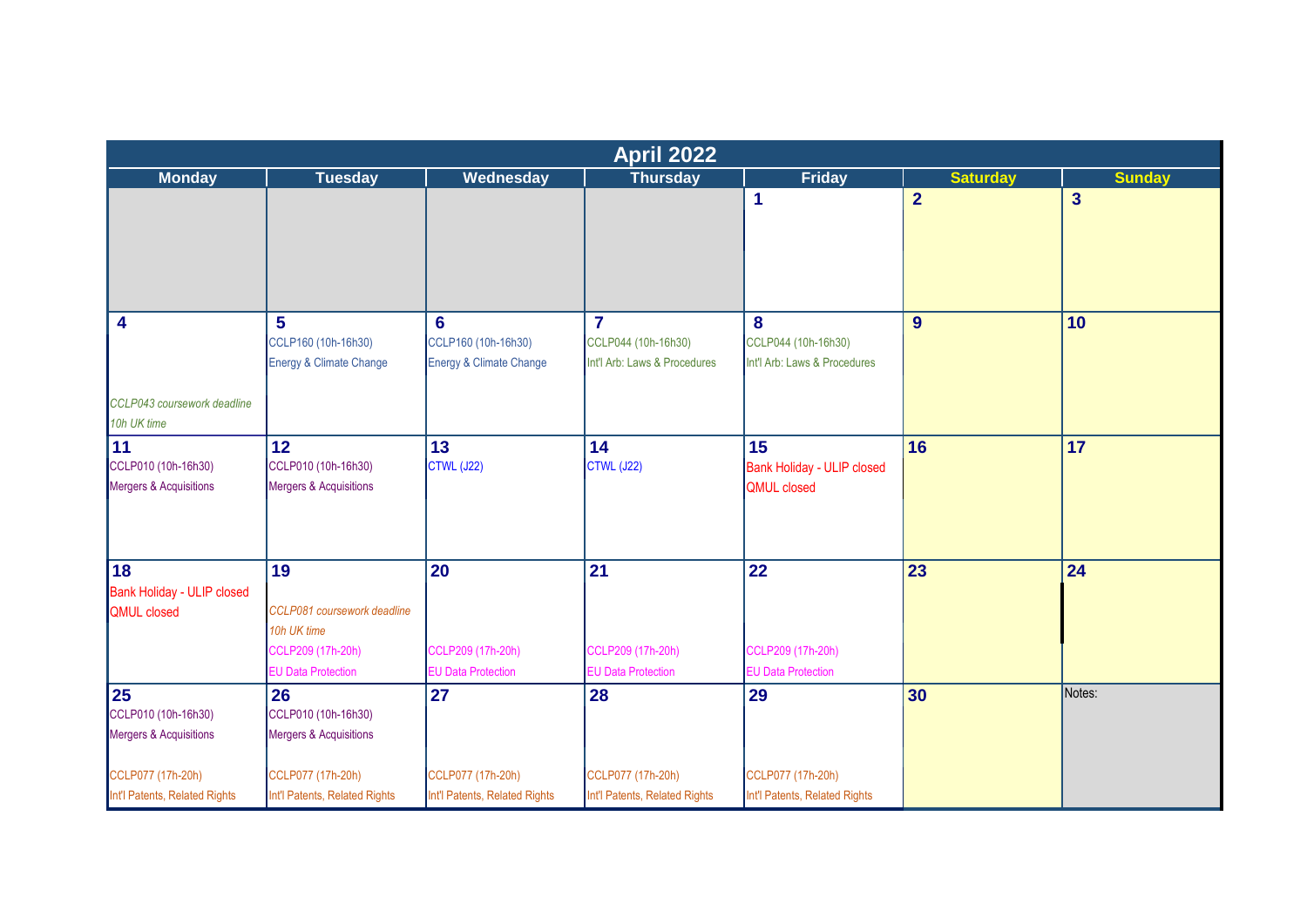|                                                                 |                                                                                                    |                                                                  | <b>April 2022</b>                                                     |                                                          |                 |                |
|-----------------------------------------------------------------|----------------------------------------------------------------------------------------------------|------------------------------------------------------------------|-----------------------------------------------------------------------|----------------------------------------------------------|-----------------|----------------|
| <b>Monday</b>                                                   | <b>Tuesday</b>                                                                                     | Wednesday                                                        | <b>Thursday</b>                                                       | <b>Friday</b>                                            | <b>Saturday</b> | <b>Sunday</b>  |
|                                                                 |                                                                                                    |                                                                  |                                                                       | 1                                                        | $\overline{2}$  | $\overline{3}$ |
| $\overline{\mathbf{4}}$                                         | 5 <sup>5</sup><br>CCLP160 (10h-16h30)<br>Energy & Climate Change                                   | $6\phantom{a}$<br>CCLP160 (10h-16h30)<br>Energy & Climate Change | $\overline{7}$<br>CCLP044 (10h-16h30)<br>Int'l Arb: Laws & Procedures | 8<br>CCLP044 (10h-16h30)<br>Int'l Arb: Laws & Procedures | 9               | 10             |
| CCLP043 coursework deadline<br>10h UK time                      |                                                                                                    |                                                                  |                                                                       |                                                          |                 |                |
| 11 <br>CCLP010 (10h-16h30)<br><b>Mergers &amp; Acquisitions</b> | 12<br>CCLP010 (10h-16h30)<br>Mergers & Acquisitions                                                | 13<br>CTWL (J22)                                                 | 14<br><b>CTWL (J22)</b>                                               | 15<br>Bank Holiday - ULIP closed<br><b>QMUL</b> closed   | 16              | 17             |
| 18<br><b>Bank Holiday - ULIP closed</b><br><b>QMUL</b> closed   | 19<br>CCLP081 coursework deadline<br>10h UK time<br>CCLP209 (17h-20h)<br><b>EU Data Protection</b> | 20<br>CCLP209 (17h-20h)<br><b>EU Data Protection</b>             | 21<br>CCLP209 (17h-20h)<br><b>EU Data Protection</b>                  | 22<br>CCLP209 (17h-20h)<br><b>EU Data Protection</b>     | 23              | 24             |
| 25<br>CCLP010 (10h-16h30)<br><b>Mergers &amp; Acquisitions</b>  | 26<br>CCLP010 (10h-16h30)<br>Mergers & Acquisitions                                                | 27                                                               | 28                                                                    | 29                                                       | 30              | Notes:         |
| CCLP077 (17h-20h)<br>Int'l Patents, Related Rights              | CCLP077 (17h-20h)<br>Int'l Patents, Related Rights                                                 | CCLP077 (17h-20h)<br>Int'l Patents, Related Rights               | CCLP077 (17h-20h)<br>Int'l Patents, Related Rights                    | CCLP077 (17h-20h)<br>Int'l Patents, Related Rights       |                 |                |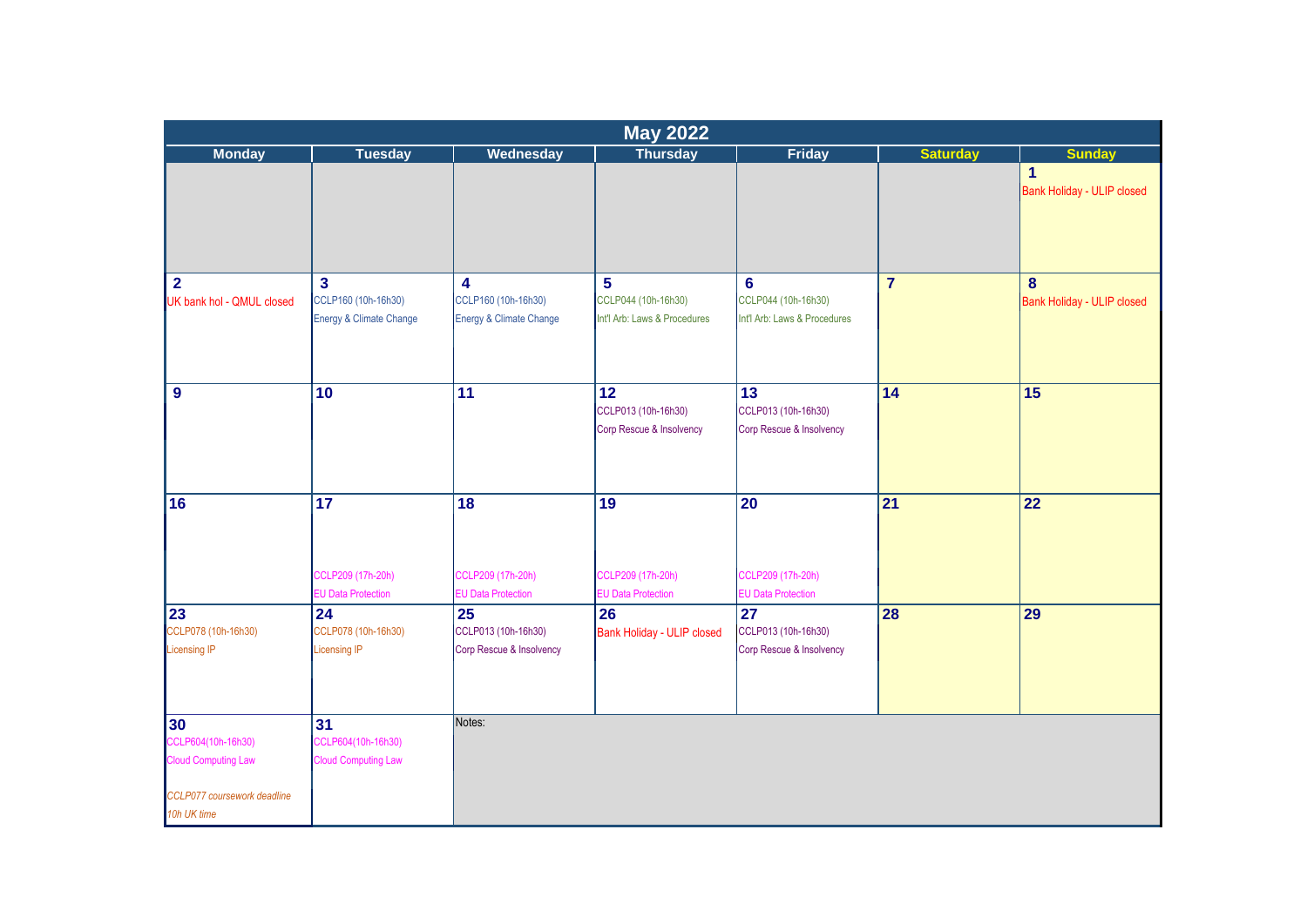|                                                                                                      |                                                                |                                                                           | <b>May 2022</b>                                          |                                                                    |                 |                                            |
|------------------------------------------------------------------------------------------------------|----------------------------------------------------------------|---------------------------------------------------------------------------|----------------------------------------------------------|--------------------------------------------------------------------|-----------------|--------------------------------------------|
| <b>Monday</b>                                                                                        | <b>Tuesday</b>                                                 | Wednesday                                                                 | Thursday                                                 | Friday                                                             | <b>Saturday</b> | <b>Sunday</b>                              |
|                                                                                                      |                                                                |                                                                           |                                                          |                                                                    |                 | $\mathbf{1}$<br>Bank Holiday - ULIP closed |
| $\overline{2}$<br>UK bank hol - QMUL closed                                                          | $\mathbf{3}$<br>CCLP160 (10h-16h30)<br>Energy & Climate Change | $\overline{\mathbf{4}}$<br>CCLP160 (10h-16h30)<br>Energy & Climate Change | 5<br>CCLP044 (10h-16h30)<br>Int'l Arb: Laws & Procedures | 6<br>CCLP044 (10h-16h30)<br>Int'l Arb: Laws & Procedures           | $\overline{7}$  | 8<br><b>Bank Holiday - ULIP closed</b>     |
| $\boldsymbol{9}$                                                                                     | 10                                                             | $\overline{11}$                                                           | 12<br>CCLP013 (10h-16h30)<br>Corp Rescue & Insolvency    | 13<br>CCLP013 (10h-16h30)<br>Corp Rescue & Insolvency              | 14              | 15                                         |
| 16                                                                                                   | $\overline{17}$                                                | 18                                                                        | 19                                                       | 20                                                                 | $\overline{21}$ | 22                                         |
|                                                                                                      | CCLP209 (17h-20h)<br><b>EU Data Protection</b>                 | CCLP209 (17h-20h)<br><b>EU Data Protection</b>                            | CCLP209 (17h-20h)<br><b>EU Data Protection</b>           | CCLP209 (17h-20h)<br><b>EU Data Protection</b>                     |                 |                                            |
| 23<br>CCLP078 (10h-16h30)<br><b>Licensing IP</b>                                                     | 24<br>CCLP078 (10h-16h30)<br>Licensing IP                      | 25<br>CCLP013 (10h-16h30)<br>Corp Rescue & Insolvency                     | 26<br>Bank Holiday - ULIP closed                         | $\overline{27}$<br>CCLP013 (10h-16h30)<br>Corp Rescue & Insolvency | 28              | 29                                         |
| 30<br>CCLP604(10h-16h30)<br><b>Cloud Computing Law</b><br>CCLP077 coursework deadline<br>10h UK time | 31<br>CCLP604(10h-16h30)<br><b>Cloud Computing Law</b>         | Notes:                                                                    |                                                          |                                                                    |                 |                                            |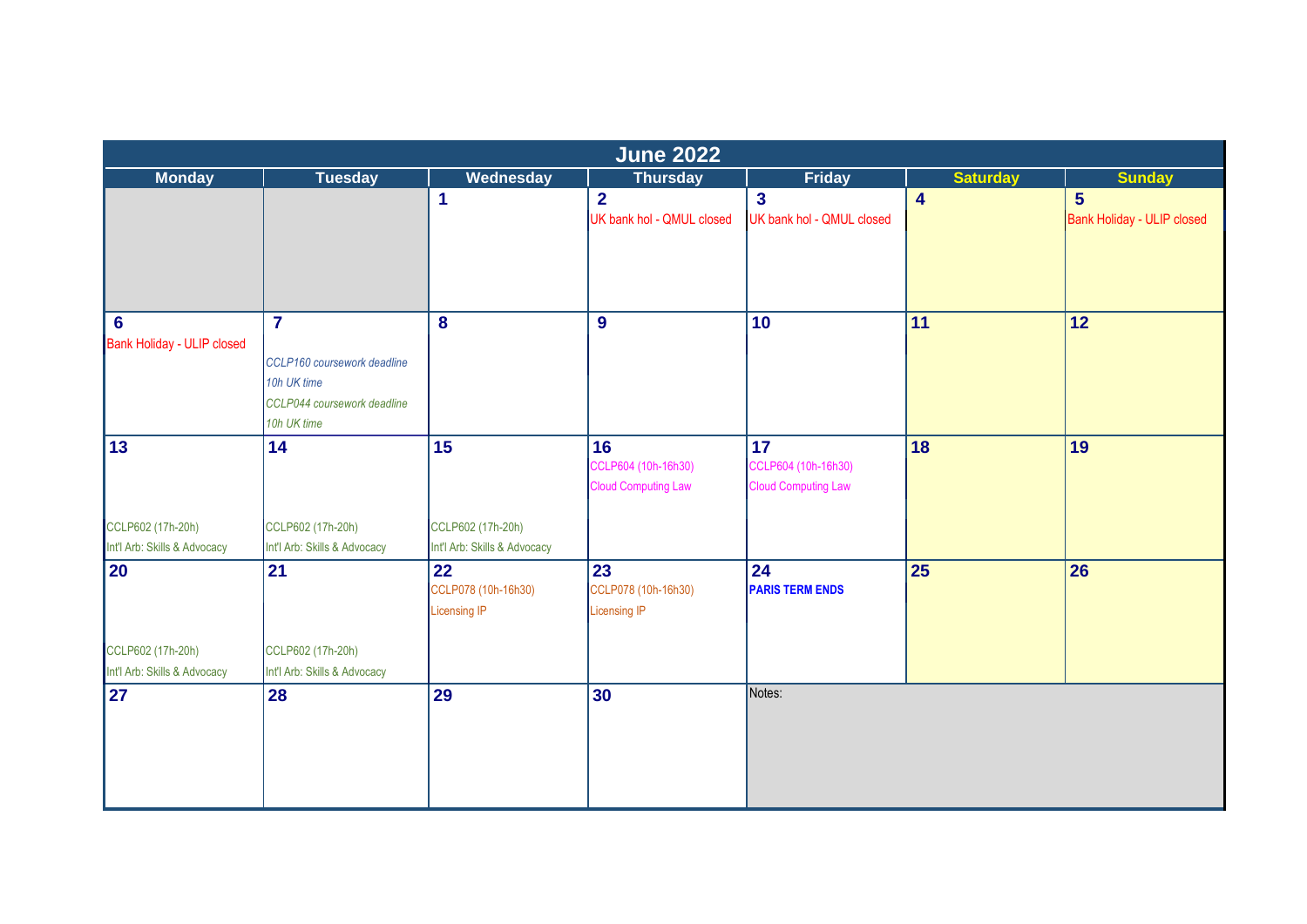|                                               | June 2022                    |                                                  |                                                         |                                                         |                         |                                   |  |  |  |
|-----------------------------------------------|------------------------------|--------------------------------------------------|---------------------------------------------------------|---------------------------------------------------------|-------------------------|-----------------------------------|--|--|--|
| <b>Monday</b>                                 | <b>Tuesday</b>               | Wednesday                                        | <b>Thursday</b>                                         | <b>Friday</b>                                           | <b>Saturday</b>         | <b>Sunday</b>                     |  |  |  |
|                                               |                              | $\blacktriangleleft$                             | 2 <sup>1</sup>                                          | $\mathbf{3}$                                            | $\overline{\mathbf{4}}$ | 5 <sup>5</sup>                    |  |  |  |
|                                               |                              |                                                  | UK bank hol - QMUL closed                               | UK bank hol - QMUL closed                               |                         | <b>Bank Holiday - ULIP closed</b> |  |  |  |
| $6\phantom{1}6$<br>Bank Holiday - ULIP closed | $\overline{7}$               | 8                                                | 9                                                       | 10                                                      | 11                      | 12                                |  |  |  |
|                                               | CCLP160 coursework deadline  |                                                  |                                                         |                                                         |                         |                                   |  |  |  |
|                                               | 10h UK time                  |                                                  |                                                         |                                                         |                         |                                   |  |  |  |
|                                               | CCLP044 coursework deadline  |                                                  |                                                         |                                                         |                         |                                   |  |  |  |
|                                               | 10h UK time                  |                                                  |                                                         |                                                         |                         |                                   |  |  |  |
| 13                                            | 14                           | 15                                               | 16<br>CCLP604 (10h-16h30)<br><b>Cloud Computing Law</b> | 17<br>CCLP604 (10h-16h30)<br><b>Cloud Computing Law</b> | 18                      | 19                                |  |  |  |
| CCLP602 (17h-20h)                             | CCLP602 (17h-20h)            | CCLP602 (17h-20h)                                |                                                         |                                                         |                         |                                   |  |  |  |
| Int'l Arb: Skills & Advocacy                  | Int'l Arb: Skills & Advocacy | Int'l Arb: Skills & Advocacy                     |                                                         |                                                         |                         |                                   |  |  |  |
| 20                                            | 21                           | 22<br>CCLP078 (10h-16h30)<br><b>Licensing IP</b> | 23<br>CCLP078 (10h-16h30)<br>Licensing IP               | 24<br><b>PARIS TERM ENDS</b>                            | 25                      | 26                                |  |  |  |
| CCLP602 (17h-20h)                             | CCLP602 (17h-20h)            |                                                  |                                                         |                                                         |                         |                                   |  |  |  |
| Int'l Arb: Skills & Advocacy                  | Int'l Arb: Skills & Advocacy |                                                  |                                                         |                                                         |                         |                                   |  |  |  |
| 27                                            | 28                           | 29                                               | 30                                                      | Notes:                                                  |                         |                                   |  |  |  |
|                                               |                              |                                                  |                                                         |                                                         |                         |                                   |  |  |  |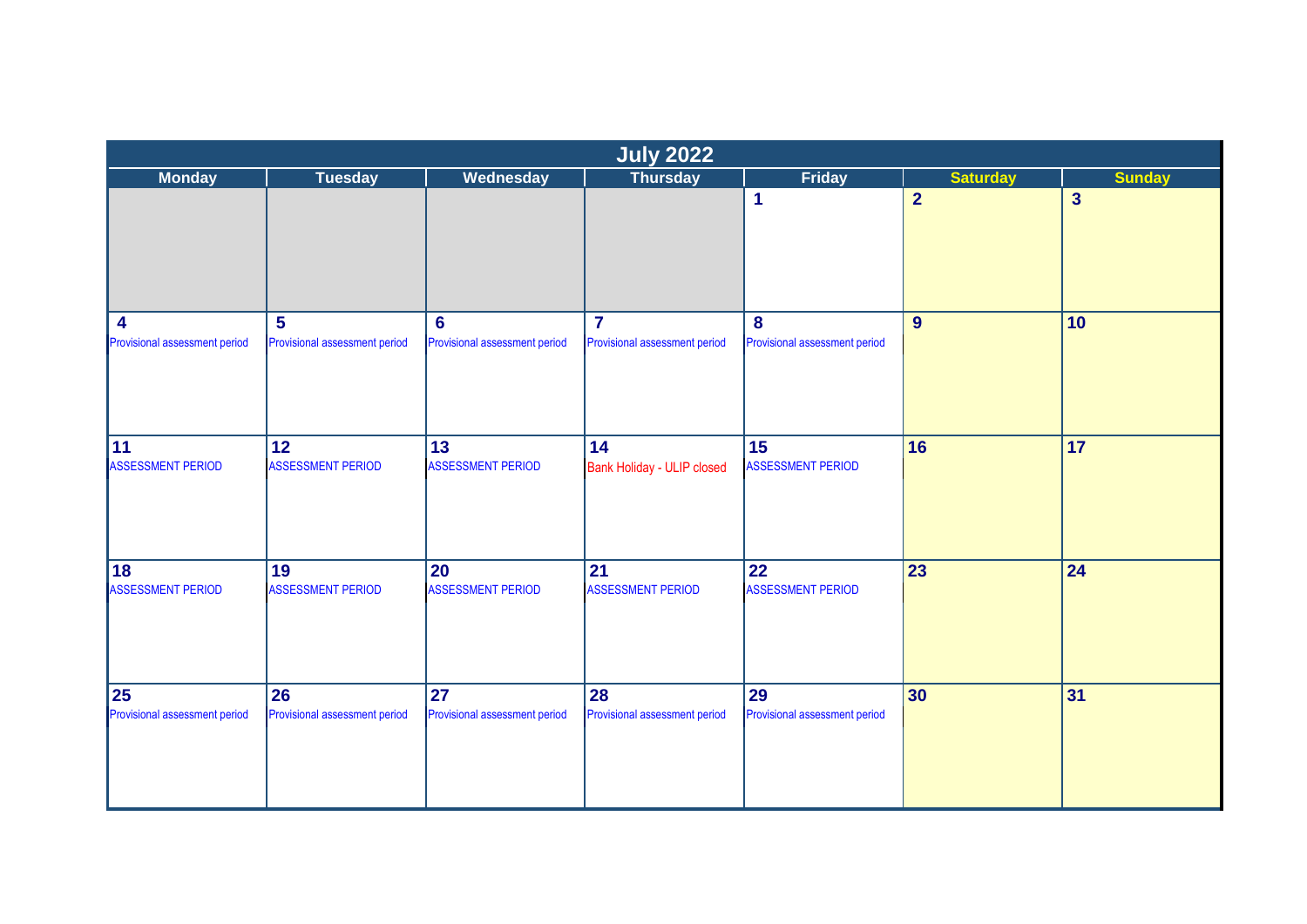| <b>Monday</b>                  | <b>Tuesday</b>                 | Wednesday                      | July 2022                               | Friday                         | <b>Saturday</b>  | <b>Sunday</b>  |
|--------------------------------|--------------------------------|--------------------------------|-----------------------------------------|--------------------------------|------------------|----------------|
|                                |                                |                                |                                         | 1                              | $\overline{2}$   | $\overline{3}$ |
| 4                              | $5\phantom{1}$                 | $6\phantom{1}6$                | $\overline{7}$                          | $\bf{8}$                       | $\boldsymbol{9}$ | 10             |
| Provisional assessment period  | Provisional assessment period  | Provisional assessment period  | Provisional assessment period           | Provisional assessment period  |                  |                |
| 11<br><b>ASSESSMENT PERIOD</b> | 12<br><b>ASSESSMENT PERIOD</b> | 13<br><b>ASSESSMENT PERIOD</b> | 14<br><b>Bank Holiday - ULIP closed</b> | 15<br><b>ASSESSMENT PERIOD</b> | 16               | 17             |
| 18<br><b>ASSESSMENT PERIOD</b> | 19<br><b>ASSESSMENT PERIOD</b> | 20<br><b>ASSESSMENT PERIOD</b> | 21<br><b>ASSESSMENT PERIOD</b>          | 22<br><b>ASSESSMENT PERIOD</b> | 23               | 24             |
|                                |                                |                                |                                         |                                |                  |                |
| 25                             | 26                             | 27                             | 28                                      | 29                             | 30               | 31             |
| Provisional assessment period  | Provisional assessment period  | Provisional assessment period  | Provisional assessment period           | Provisional assessment period  |                  |                |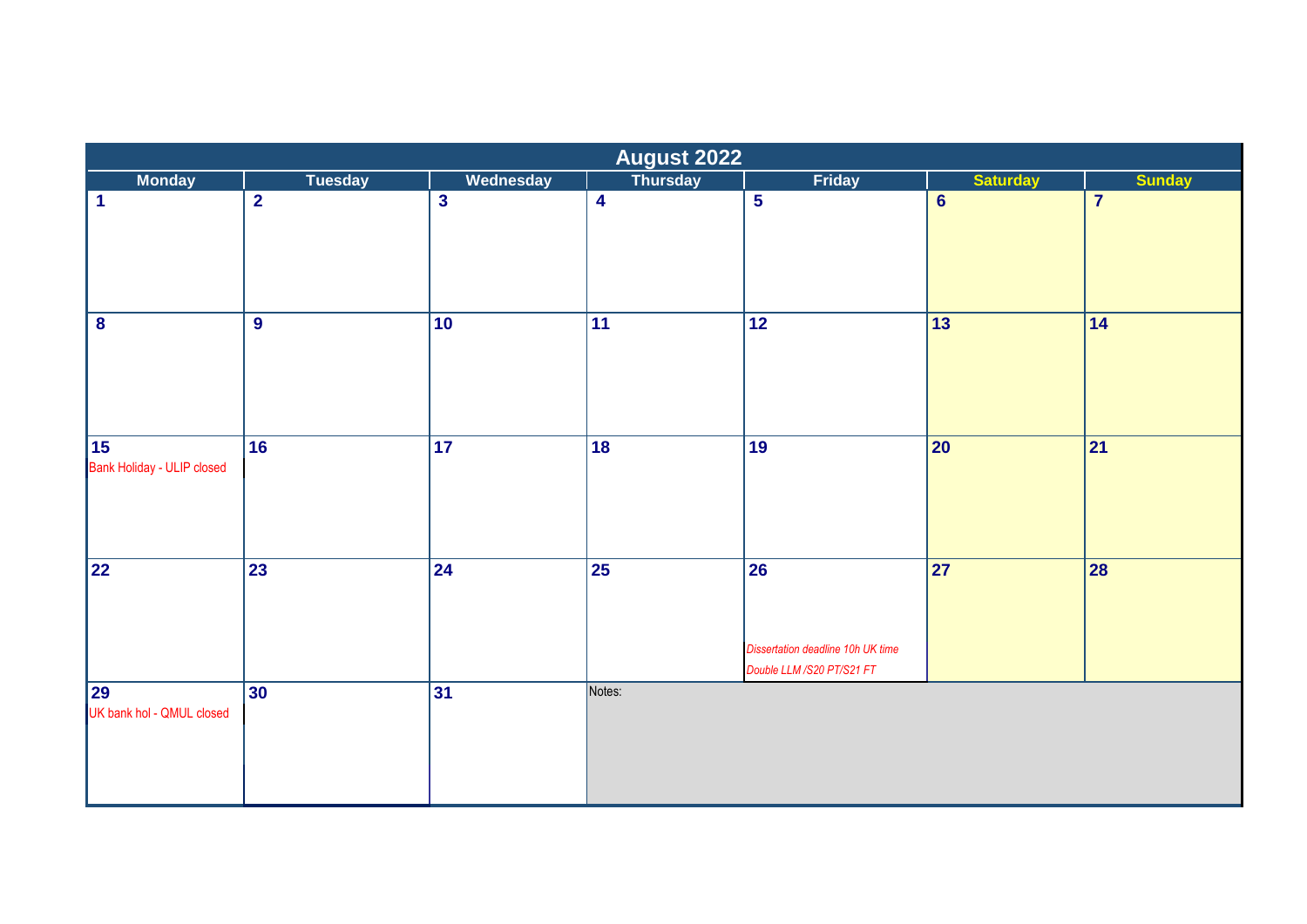|                                  | <b>August 2022</b> |                 |                         |                                                                                          |                          |                 |  |  |  |
|----------------------------------|--------------------|-----------------|-------------------------|------------------------------------------------------------------------------------------|--------------------------|-----------------|--|--|--|
| <b>Monday</b>                    | <b>Tuesday</b>     | Wednesday       | <b>Thursday</b>         | Friday                                                                                   | <b>Saturday</b>          | <b>Sunday</b>   |  |  |  |
| <u>  1</u>                       | $\overline{2}$     | $\mathbf{3}$    | $\overline{\mathbf{4}}$ | $5\phantom{a}$                                                                           | $6\phantom{a}$           | $\overline{7}$  |  |  |  |
| $\bf{8}$                         | $\overline{9}$     | $ 10\rangle$    | $\overline{11}$         | $\overline{12}$                                                                          | $\overline{13}$          | 14              |  |  |  |
| 15<br>Bank Holiday - ULIP closed | $\overline{16}$    | 17              | 18                      | 19                                                                                       | $\overline{\mathbf{20}}$ | $\overline{21}$ |  |  |  |
| $\sqrt{22}$                      | 23                 | $\overline{24}$ | $\overline{25}$         | $\overline{26}$<br><b>Dissertation deadline 10h UK time</b><br>Double LLM /S20 PT/S21 FT | $\overline{27}$          | 28              |  |  |  |
| 29<br>UK bank hol - QMUL closed  | 30                 | 31              | Notes:                  |                                                                                          |                          |                 |  |  |  |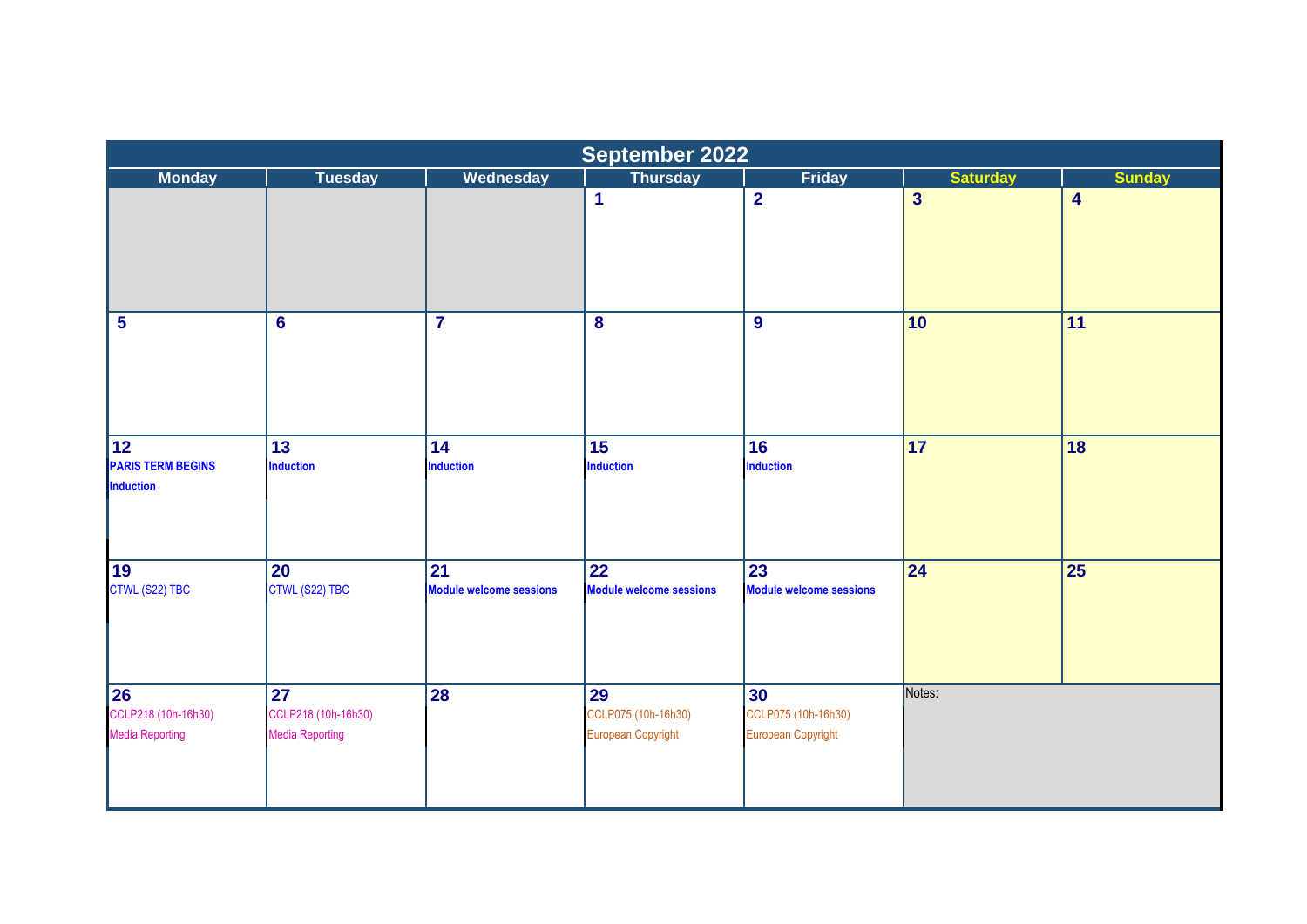|                                                                 |                                                     |                                      | September 2022                                  |                                                 |                 |                         |
|-----------------------------------------------------------------|-----------------------------------------------------|--------------------------------------|-------------------------------------------------|-------------------------------------------------|-----------------|-------------------------|
| <b>Monday</b>                                                   | <b>Tuesday</b>                                      | Wednesday                            | <b>Thursday</b>                                 | <b>Friday</b>                                   | <b>Saturday</b> | <b>Sunday</b>           |
|                                                                 |                                                     |                                      | $\blacktriangleleft$                            | $\overline{2}$                                  | $\overline{3}$  | $\overline{\mathbf{4}}$ |
| $\overline{\mathbf{5}}$                                         | $6\phantom{1}6$                                     | $\overline{\mathbf{7}}$              | $\boldsymbol{8}$                                | $\boldsymbol{9}$                                | 10              | 11                      |
| $\overline{12}$<br><b>PARIS TERM BEGINS</b><br><b>Induction</b> | 13<br><b>Induction</b>                              | 14<br><b>Induction</b>               | 15<br><b>Induction</b>                          | 16<br>Induction                                 | 17              | 18                      |
| 19<br>CTWL (S22) TBC                                            | 20<br>CTWL (S22) TBC                                | 21<br><b>Module welcome sessions</b> | 22<br><b>Module welcome sessions</b>            | 23<br><b>Module welcome sessions</b>            | 24              | 25                      |
| <b>26</b><br>CCLP218 (10h-16h30)<br><b>Media Reporting</b>      | 27<br>CCLP218 (10h-16h30)<br><b>Media Reporting</b> | 28                                   | 29<br>CCLP075 (10h-16h30)<br>European Copyright | 30<br>CCLP075 (10h-16h30)<br>European Copyright | Notes:          |                         |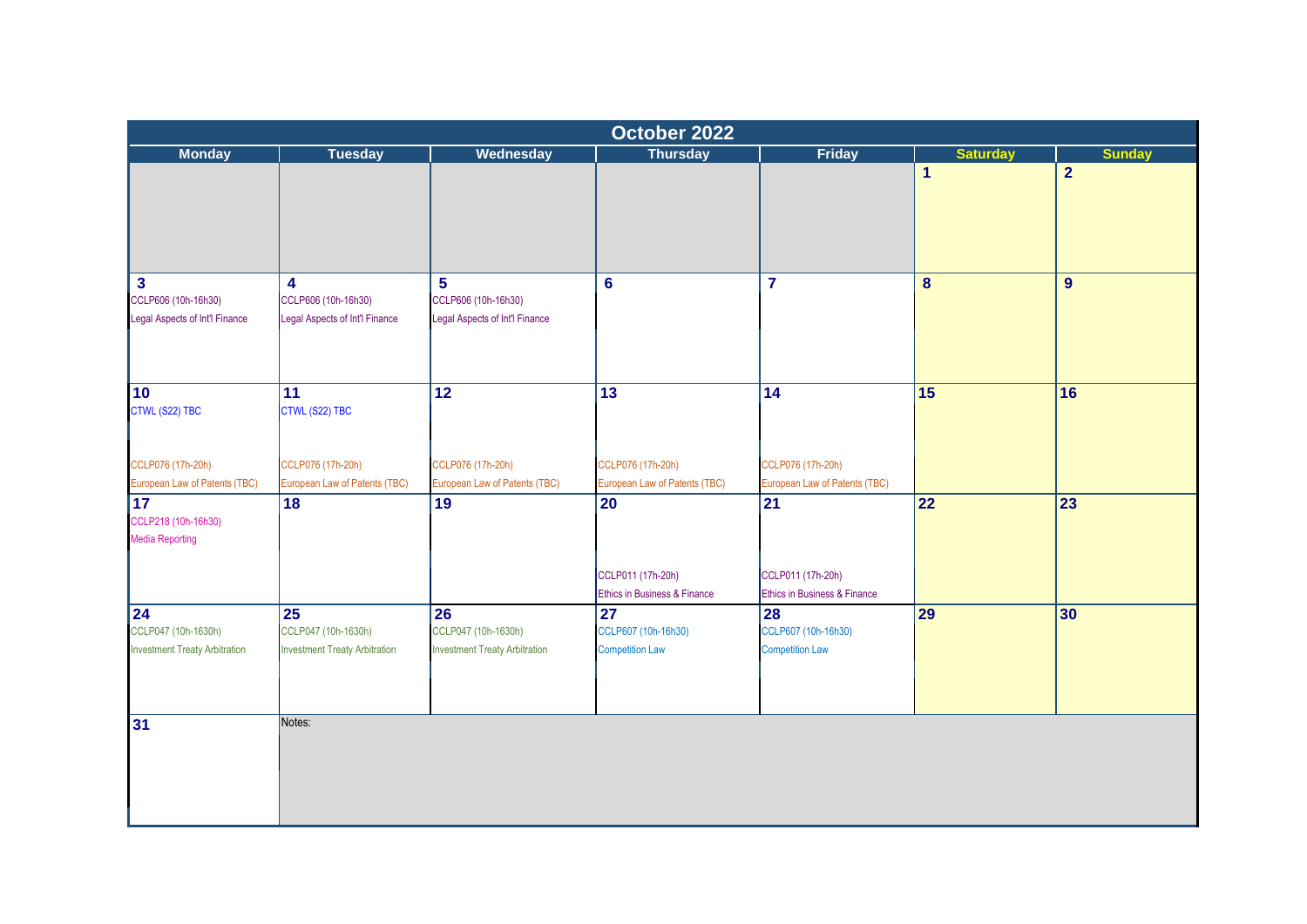|                                                                   |                                                                                |                                                                   | October 2022                                        |                                                     |                 |                 |  |  |  |  |  |  |  |  |  |
|-------------------------------------------------------------------|--------------------------------------------------------------------------------|-------------------------------------------------------------------|-----------------------------------------------------|-----------------------------------------------------|-----------------|-----------------|--|--|--|--|--|--|--|--|--|
| <b>Monday</b>                                                     | <b>Tuesday</b>                                                                 | Wednesday                                                         | <b>Thursday</b>                                     | <b>Friday</b>                                       | <b>Saturday</b> | <b>Sunday</b>   |  |  |  |  |  |  |  |  |  |
|                                                                   |                                                                                |                                                                   |                                                     |                                                     | $\mathbf{1}$    | $\overline{2}$  |  |  |  |  |  |  |  |  |  |
| $\mathbf{3}$                                                      | 4                                                                              | 5                                                                 | $6\phantom{1}6$                                     | $\overline{7}$                                      | 8               | 9               |  |  |  |  |  |  |  |  |  |
| CCLP606 (10h-16h30)<br>Legal Aspects of Int'l Finance             | CCLP606 (10h-16h30)<br>Legal Aspects of Int'l Finance                          | CCLP606 (10h-16h30)<br>Legal Aspects of Int'l Finance             |                                                     |                                                     |                 |                 |  |  |  |  |  |  |  |  |  |
| 10<br>CTWL (S22) TBC                                              | 11<br>CTWL (S22) TBC                                                           | $\overline{12}$                                                   | $\overline{13}$                                     | 14                                                  | 15              | 16              |  |  |  |  |  |  |  |  |  |
| CCLP076 (17h-20h)<br>European Law of Patents (TBC)                | CCLP076 (17h-20h)<br>European Law of Patents (TBC)                             | CCLP076 (17h-20h)<br>European Law of Patents (TBC)                | CCLP076 (17h-20h)<br>European Law of Patents (TBC)  | CCLP076 (17h-20h)<br>European Law of Patents (TBC)  |                 |                 |  |  |  |  |  |  |  |  |  |
| $\overline{17}$<br>CCLP218 (10h-16h30)<br><b>Media Reporting</b>  | 18                                                                             | 19                                                                | 20                                                  | $\overline{21}$                                     | 22              | $\overline{23}$ |  |  |  |  |  |  |  |  |  |
|                                                                   |                                                                                |                                                                   | CCLP011 (17h-20h)<br>Ethics in Business & Finance   | CCLP011 (17h-20h)<br>Ethics in Business & Finance   |                 |                 |  |  |  |  |  |  |  |  |  |
| 24<br>CCLP047 (10h-1630h)<br><b>Investment Treaty Arbitration</b> | $\overline{25}$<br>CCLP047 (10h-1630h)<br><b>Investment Treaty Arbitration</b> | 26<br>CCLP047 (10h-1630h)<br><b>Investment Treaty Arbitration</b> | 27<br>CCLP607 (10h-16h30)<br><b>Competition Law</b> | 28<br>CCLP607 (10h-16h30)<br><b>Competition Law</b> | 29              | 30              |  |  |  |  |  |  |  |  |  |
| 31                                                                | Notes:                                                                         |                                                                   |                                                     |                                                     |                 |                 |  |  |  |  |  |  |  |  |  |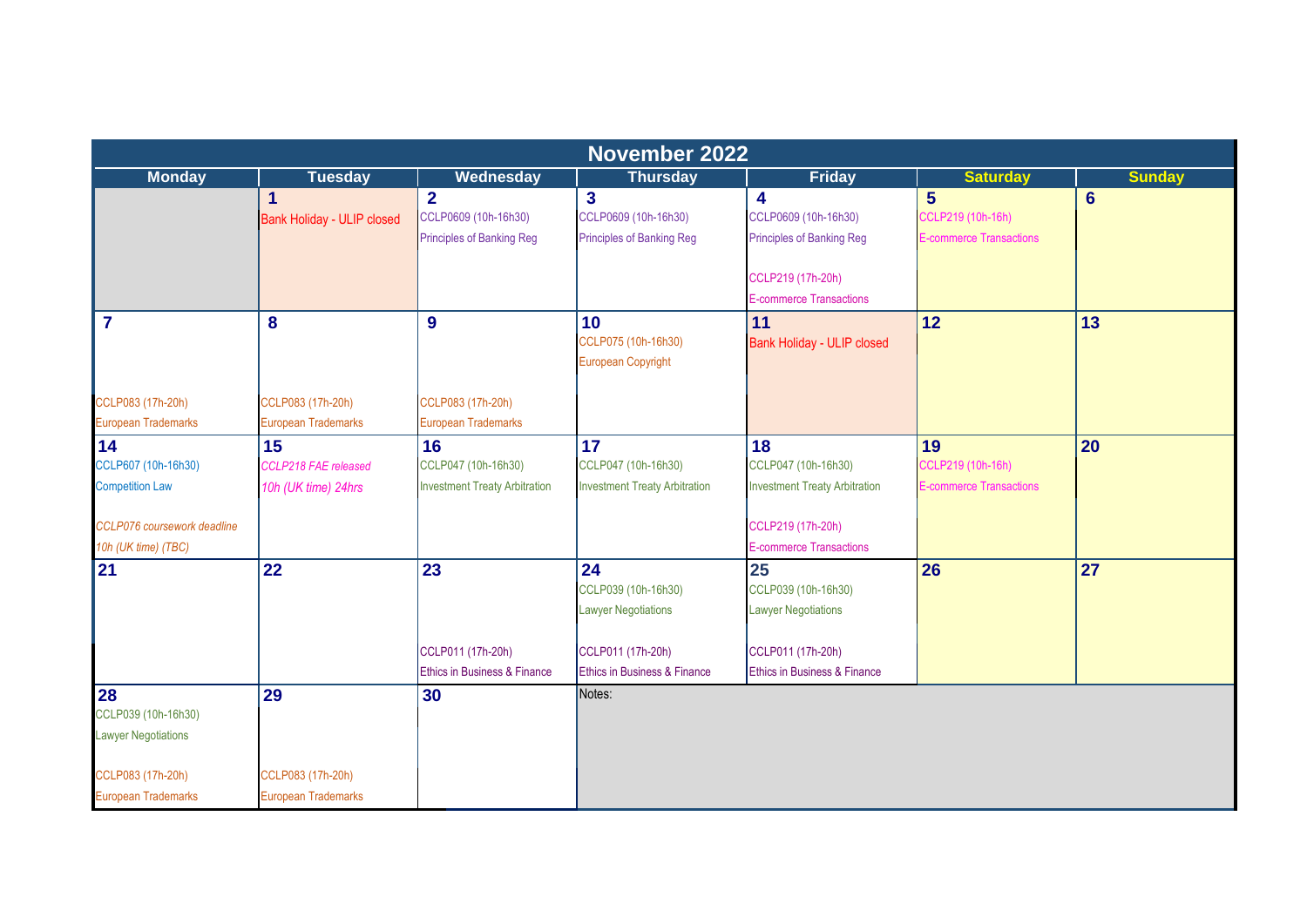|                             | <b>November 2022</b>       |                                      |                                      |                                      |                                |                 |  |  |  |
|-----------------------------|----------------------------|--------------------------------------|--------------------------------------|--------------------------------------|--------------------------------|-----------------|--|--|--|
| <b>Monday</b>               | <b>Tuesday</b>             | Wednesday                            | <b>Thursday</b>                      | <b>Friday</b>                        | <b>Saturday</b>                | <b>Sunday</b>   |  |  |  |
|                             | $\mathbf{1}$               | $\overline{2}$                       | $\mathbf{3}$                         | $\overline{\mathbf{4}}$              | $5\phantom{1}$                 | $6\phantom{1}6$ |  |  |  |
|                             | Bank Holiday - ULIP closed | CCLP0609 (10h-16h30)                 | CCLP0609 (10h-16h30)                 | CCLP0609 (10h-16h30)                 | CCLP219 (10h-16h)              |                 |  |  |  |
|                             |                            | <b>Principles of Banking Reg</b>     | <b>Principles of Banking Reg</b>     | <b>Principles of Banking Reg</b>     | <b>E-commerce Transactions</b> |                 |  |  |  |
|                             |                            |                                      |                                      | CCLP219 (17h-20h)                    |                                |                 |  |  |  |
|                             |                            |                                      |                                      | <b>E-commerce Transactions</b>       |                                |                 |  |  |  |
| $\overline{7}$              | 8                          | 9                                    | 10                                   | 11                                   | 12                             | 13              |  |  |  |
|                             |                            |                                      | CCLP075 (10h-16h30)                  | Bank Holiday - ULIP closed           |                                |                 |  |  |  |
|                             |                            |                                      | <b>European Copyright</b>            |                                      |                                |                 |  |  |  |
| CCLP083 (17h-20h)           | CCLP083 (17h-20h)          | CCLP083 (17h-20h)                    |                                      |                                      |                                |                 |  |  |  |
| European Trademarks         | <b>European Trademarks</b> | <b>European Trademarks</b>           |                                      |                                      |                                |                 |  |  |  |
| 14                          | 15                         | 16                                   | 17                                   | 18                                   | 19                             | 20              |  |  |  |
| CCLP607 (10h-16h30)         | CCLP218 FAE released       | CCLP047 (10h-16h30)                  | CCLP047 (10h-16h30)                  | CCLP047 (10h-16h30)                  | CCLP219 (10h-16h)              |                 |  |  |  |
| <b>Competition Law</b>      | 10h (UK time) 24hrs        | <b>Investment Treaty Arbitration</b> | <b>Investment Treaty Arbitration</b> | <b>Investment Treaty Arbitration</b> | <b>E-commerce Transactions</b> |                 |  |  |  |
| CCLP076 coursework deadline |                            |                                      |                                      | CCLP219 (17h-20h)                    |                                |                 |  |  |  |
| 10h (UK time) (TBC)         |                            |                                      |                                      | <b>E-commerce Transactions</b>       |                                |                 |  |  |  |
| 21                          | 22                         | 23                                   | 24                                   | 25                                   | 26                             | 27              |  |  |  |
|                             |                            |                                      | CCLP039 (10h-16h30)                  | CCLP039 (10h-16h30)                  |                                |                 |  |  |  |
|                             |                            |                                      | <b>Lawyer Negotiations</b>           | <b>Lawyer Negotiations</b>           |                                |                 |  |  |  |
|                             |                            | CCLP011 (17h-20h)                    | CCLP011 (17h-20h)                    | CCLP011 (17h-20h)                    |                                |                 |  |  |  |
|                             |                            | Ethics in Business & Finance         | Ethics in Business & Finance         | Ethics in Business & Finance         |                                |                 |  |  |  |
| 28                          | 29                         | 30                                   | Notes:                               |                                      |                                |                 |  |  |  |
| CCLP039 (10h-16h30)         |                            |                                      |                                      |                                      |                                |                 |  |  |  |
| <b>Lawyer Negotiations</b>  |                            |                                      |                                      |                                      |                                |                 |  |  |  |
| CCLP083 (17h-20h)           | CCLP083 (17h-20h)          |                                      |                                      |                                      |                                |                 |  |  |  |
| <b>European Trademarks</b>  | <b>European Trademarks</b> |                                      |                                      |                                      |                                |                 |  |  |  |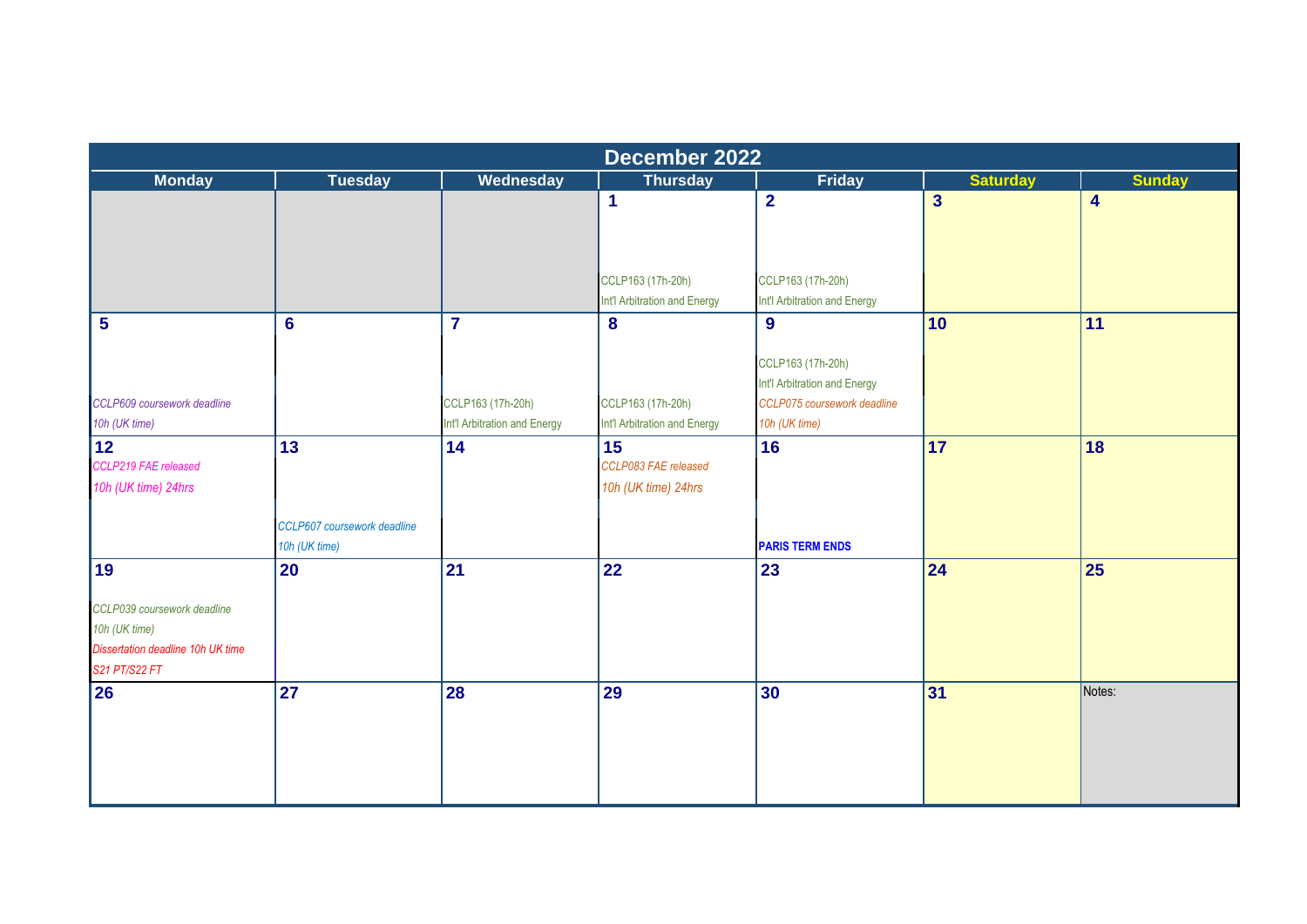|                                                                                                    |                                              |                              | December 2022                                     |                              |                         |                         |
|----------------------------------------------------------------------------------------------------|----------------------------------------------|------------------------------|---------------------------------------------------|------------------------------|-------------------------|-------------------------|
| <b>Monday</b>                                                                                      | <b>Tuesday</b>                               | <b>Wednesday</b>             | <b>Thursday</b>                                   | Friday                       | <b>Saturday</b>         | <b>Sunday</b>           |
|                                                                                                    |                                              |                              | 1                                                 | $\overline{\mathbf{2}}$      | $\overline{\mathbf{3}}$ | $\overline{\mathbf{4}}$ |
|                                                                                                    |                                              |                              | CCLP163 (17h-20h)                                 | CCLP163 (17h-20h)            |                         |                         |
|                                                                                                    |                                              |                              | Int'l Arbitration and Energy                      | Int'l Arbitration and Energy |                         |                         |
| 5                                                                                                  | $6\phantom{1}6$                              | $\overline{7}$               | 8                                                 | 9<br>CCLP163 (17h-20h)       | 10                      | 11                      |
|                                                                                                    |                                              |                              |                                                   | Int'l Arbitration and Energy |                         |                         |
| CCLP609 coursework deadline                                                                        |                                              | CCLP163 (17h-20h)            | CCLP163 (17h-20h)                                 | CCLP075 coursework deadline  |                         |                         |
| 10h (UK time)                                                                                      |                                              | Int'l Arbitration and Energy | Int'l Arbitration and Energy                      | 10h (UK time)                |                         |                         |
| 12 <br>CCLP219 FAE released<br>10h (UK time) 24hrs                                                 | 13                                           | 14                           | 15<br>CCLP083 FAE released<br>10h (UK time) 24hrs | 16                           | 17                      | 18                      |
|                                                                                                    | CCLP607 coursework deadline<br>10h (UK time) |                              |                                                   | <b>PARIS TERM ENDS</b>       |                         |                         |
| 19                                                                                                 | $\overline{20}$                              | 21                           | 22                                                | 23                           | 24                      | 25                      |
| CCLP039 coursework deadline<br>10h (UK time)<br>Dissertation deadline 10h UK time<br>S21 PT/S22 FT |                                              |                              |                                                   |                              |                         |                         |
| 26                                                                                                 | 27                                           | 28                           | 29                                                | 30                           | 31                      | Notes:                  |